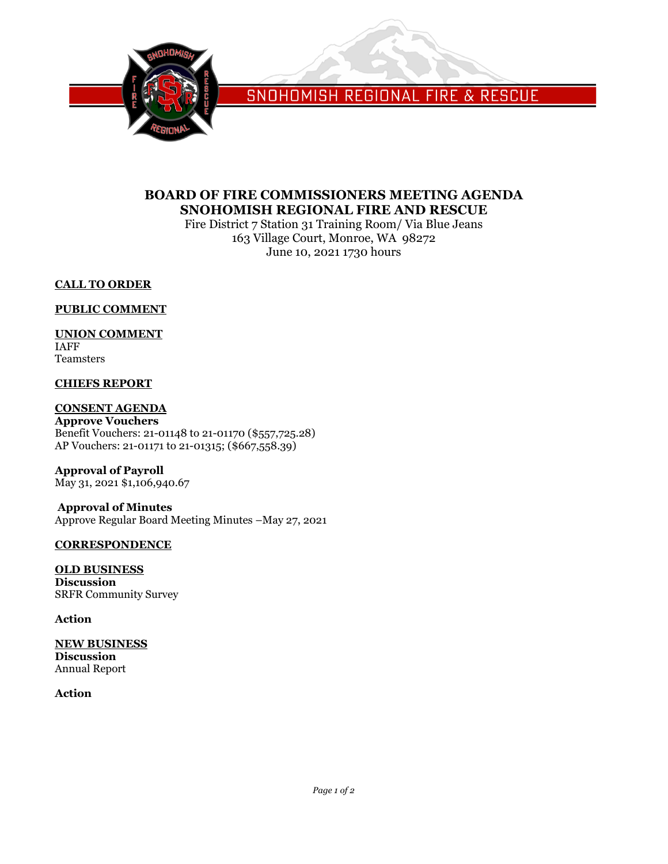

SNOHOMISH REGIONAL FIRE & RESCUE

# **BOARD OF FIRE COMMISSIONERS MEETING AGENDA SNOHOMISH REGIONAL FIRE AND RESCUE**

Fire District 7 Station 31 Training Room/ Via Blue Jeans 163 Village Court, Monroe, WA 98272 June 10, 2021 1730 hours

## **CALL TO ORDER**

#### **PUBLIC COMMENT**

## **UNION COMMENT**

IAFF Teamsters

## **CHIEFS REPORT**

#### **CONSENT AGENDA**

**Approve Vouchers** Benefit Vouchers: 21-01148 to 21-01170 (\$557,725.28) AP Vouchers: 21-01171 to 21-01315; (\$667,558.39)

**Approval of Payroll** May 31, 2021 \$1,106,940.67

**Approval of Minutes** Approve Regular Board Meeting Minutes –May 27, 2021

#### **CORRESPONDENCE**

**OLD BUSINESS Discussion** SRFR Community Survey

#### **Action**

**NEW BUSINESS Discussion** Annual Report

## **Action**